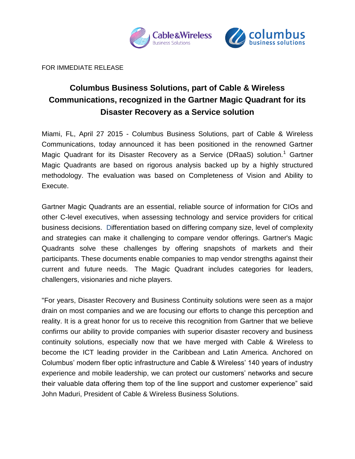



FOR IMMEDIATE RELEASE

# **Columbus Business Solutions, part of Cable & Wireless Communications, recognized in the Gartner Magic Quadrant for its Disaster Recovery as a Service solution**

Miami, FL, April 27 2015 - Columbus Business Solutions, part of Cable & Wireless Communications, today announced it has been positioned in the renowned Gartner Magic Quadrant for its Disaster Recovery as a Service (DRaaS) solution.<sup>1</sup> Gartner Magic Quadrants are based on rigorous analysis backed up by a highly structured methodology. The evaluation was based on Completeness of Vision and Ability to Execute.

Gartner Magic Quadrants are an essential, reliable source of information for CIOs and other C-level executives, when assessing technology and service providers for critical business decisions. Differentiation based on differing company size, level of complexity and strategies can make it challenging to compare vendor offerings. Gartner's Magic Quadrants solve these challenges by offering snapshots of markets and their participants. These documents enable companies to map vendor strengths against their current and future needs. The Magic Quadrant includes categories for leaders, challengers, visionaries and niche players.

"For years, Disaster Recovery and Business Continuity solutions were seen as a major drain on most companies and we are focusing our efforts to change this perception and reality. It is a great honor for us to receive this recognition from Gartner that we believe confirms our ability to provide companies with superior disaster recovery and business continuity solutions, especially now that we have merged with Cable & Wireless to become the ICT leading provider in the Caribbean and Latin America. Anchored on Columbus' modern fiber optic infrastructure and Cable & Wireless' 140 years of industry experience and mobile leadership, we can protect our customers' networks and secure their valuable data offering them top of the line support and customer experience" said John Maduri, President of Cable & Wireless Business Solutions.